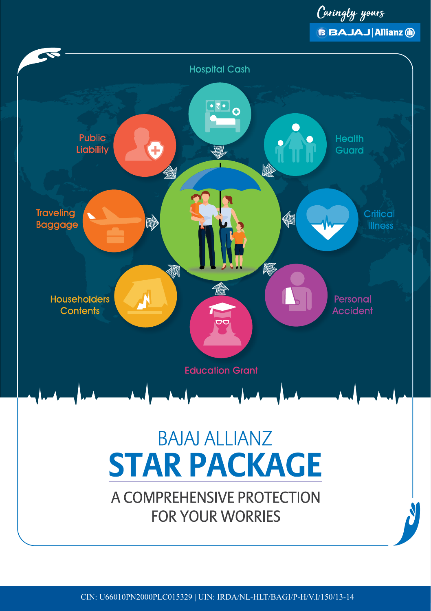Caringly yours **BBAJAJ Allianz (ii)** 

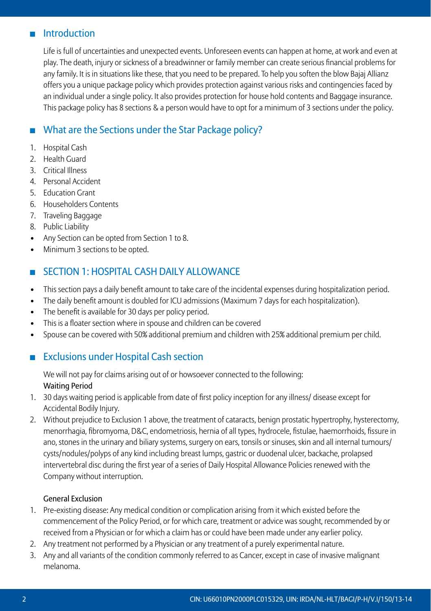## **Introduction**

Life is full of uncertainties and unexpected events. Unforeseen events can happen at home, at work and even at play. The death, injury or sickness of a breadwinner or family member can create serious financial problems for any family. It is in situations like these, that you need to be prepared. To help you soften the blow Bajaj Allianz offers you a unique package policy which provides protection against various risks and contingencies faced by an individual under a single policy. It also provides protection for house hold contents and Baggage insurance. This package policy has 8 sections & a person would have to opt for a minimum of 3 sections under the policy.

# What are the Sections under the Star Package policy?

- 1. Hospital Cash
- 2. Health Guard
- 3. Critical Illness
- 4. Personal Accident
- 5. Education Grant
- 6. Householders Contents
- 7. Traveling Baggage
- 8. Public Liability
- Any Section can be opted from Section 1 to 8.
- Minimum 3 sections to be opted.

## **SECTION 1: HOSPITAL CASH DAILY ALLOWANCE**

- • This section pays a daily benefit amount to take care of the incidental expenses during hospitalization period.
- The daily benefit amount is doubled for ICU admissions (Maximum 7 days for each hospitalization).
- The benefit is available for 30 days per policy period.
- This is a floater section where in spouse and children can be covered
- Spouse can be covered with 50% additional premium and children with 25% additional premium per child.

## **Exclusions under Hospital Cash section**

We will not pay for claims arising out of or howsoever connected to the following: Waiting Period

- 1. 30 days waiting period is applicable from date of first policy inception for any illness/ disease except for Accidental Bodily Injury.
- 2. Without prejudice to Exclusion 1 above, the treatment of cataracts, benign prostatic hypertrophy, hysterectomy, menorrhagia, fibromyoma, D&C, endometriosis, hernia of all types, hydrocele, fistulae, haemorrhoids, fissure in ano, stones in the urinary and biliary systems, surgery on ears, tonsils or sinuses, skin and all internal tumours/ cysts/nodules/polyps of any kind including breast lumps, gastric or duodenal ulcer, backache, prolapsed intervertebral disc during the first year of a series of Daily Hospital Allowance Policies renewed with the Company without interruption.

#### General Exclusion

- 1. Pre-existing disease: Any medical condition or complication arising from it which existed before the commencement of the Policy Period, or for which care, treatment or advice was sought, recommended by or received from a Physician or for which a claim has or could have been made under any earlier policy.
- 2. Any treatment not performed by a Physician or any treatment of a purely experimental nature.
- 3. Any and all variants of the condition commonly referred to as Cancer, except in case of invasive malignant melanoma.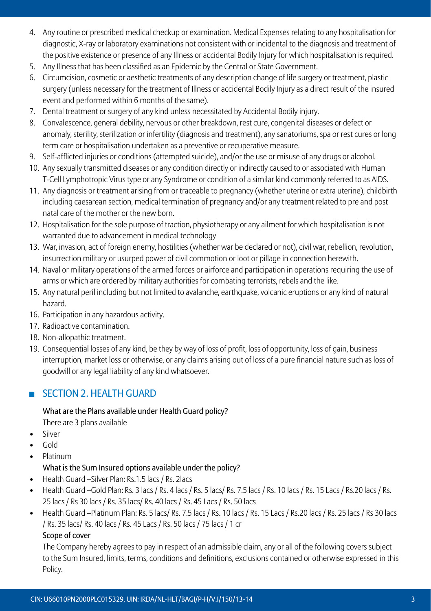- 4. Any routine or prescribed medical checkup or examination. Medical Expenses relating to any hospitalisation for diagnostic, X-ray or laboratory examinations not consistent with or incidental to the diagnosis and treatment of the positive existence or presence of any Illness or accidental Bodily Injury for which hospitalisation is required.
- 5. Any Illness that has been classified as an Epidemic by the Central or State Government.
- 6. Circumcision, cosmetic or aesthetic treatments of any description change of life surgery or treatment, plastic surgery (unless necessary for the treatment of Illness or accidental Bodily Injury as a direct result of the insured event and performed within 6 months of the same).
- 7. Dental treatment or surgery of any kind unless necessitated by Accidental Bodily injury.
- 8. Convalescence, general debility, nervous or other breakdown, rest cure, congenital diseases or defect or anomaly, sterility, sterilization or infertility (diagnosis and treatment), any sanatoriums, spa or rest cures or long term care or hospitalisation undertaken as a preventive or recuperative measure.
- 9. Self-afflicted injuries or conditions (attempted suicide), and/or the use or misuse of any drugs or alcohol.
- 10. Any sexually transmitted diseases or any condition directly or indirectly caused to or associated with Human T-Cell Lymphotropic Virus type or any Syndrome or condition of a similar kind commonly referred to as AIDS.
- 11. Any diagnosis or treatment arising from or traceable to pregnancy (whether uterine or extra uterine), childbirth including caesarean section, medical termination of pregnancy and/or any treatment related to pre and post natal care of the mother or the new born.
- 12. Hospitalisation for the sole purpose of traction, physiotherapy or any ailment for which hospitalisation is not warranted due to advancement in medical technology
- 13. War, invasion, act of foreign enemy, hostilities (whether war be declared or not), civil war, rebellion, revolution, insurrection military or usurped power of civil commotion or loot or pillage in connection herewith.
- 14. Naval or military operations of the armed forces or airforce and participation in operations requiring the use of arms or which are ordered by military authorities for combating terrorists, rebels and the like.
- 15. Any natural peril including but not limited to avalanche, earthquake, volcanic eruptions or any kind of natural hazard.
- 16. Participation in any hazardous activity.
- 17. Radioactive contamination.
- 18. Non-allopathic treatment.
- 19. Consequential losses of any kind, be they by way of loss of profit, loss of opportunity, loss of gain, business interruption, market loss or otherwise, or any claims arising out of loss of a pure financial nature such as loss of goodwill or any legal liability of any kind whatsoever.

## $S$  SECTION 2. HEALTH GUARD

#### What are the Plans available under Health Guard policy?

There are 3 plans available

- • Silver
- • Gold
- **Platinum**

#### What is the Sum Insured options available under the policy?

- Health Guard Silver Plan: Rs. 1.5 lacs / Rs. 2 lacs
- Health Guard –Gold Plan: Rs. 3 lacs / Rs. 4 lacs / Rs. 5 lacs / Rs. 7.5 lacs / Rs. 10 lacs / Rs. 15 Lacs / Rs.20 lacs / Rs. 25 lacs / Rs 30 lacs / Rs. 35 lacs/ Rs. 40 lacs / Rs. 45 Lacs / Rs. 50 lacs
- Health Guard –Platinum Plan: Rs. 5 lacs/ Rs. 7.5 lacs / Rs. 10 lacs / Rs. 15 Lacs / Rs.20 lacs / Rs. 25 lacs / Rs 30 lacs / Rs. 35 lacs/ Rs. 40 lacs / Rs. 45 Lacs / Rs. 50 lacs / 75 lacs / 1 cr

## Scope of cover

The Company hereby agrees to pay in respect of an admissible claim, any or all of the following covers subject to the Sum Insured, limits, terms, conditions and definitions, exclusions contained or otherwise expressed in this Policy.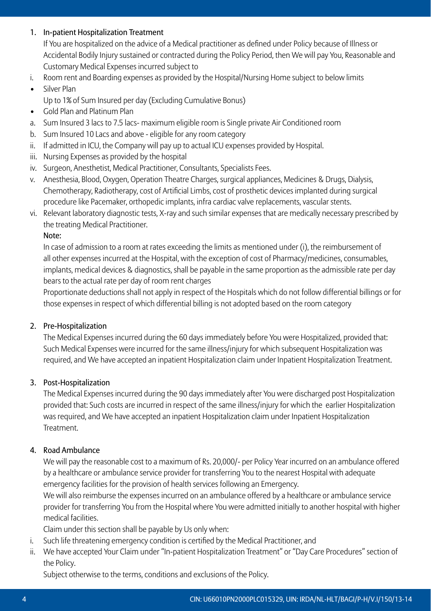## 1. In-patient Hospitalization Treatment

If You are hospitalized on the advice of a Medical practitioner as defined under Policy because of Illness or Accidental Bodily Injury sustained or contracted during the Policy Period, then We will pay You, Reasonable and Customary Medical Expenses incurred subject to

- i. Room rent and Boarding expenses as provided by the Hospital/Nursing Home subject to below limits
- • Silver Plan
	- Up to 1% of Sum Insured per day (Excluding Cumulative Bonus)
- • Gold Plan and Platinum Plan
- a. Sum Insured 3 lacs to 7.5 lacs- maximum eligible room is Single private Air Conditioned room
- b. Sum Insured 10 Lacs and above eligible for any room category
- ii. If admitted in ICU, the Company will pay up to actual ICU expenses provided by Hospital.
- iii. Nursing Expenses as provided by the hospital
- iv. Surgeon, Anesthetist, Medical Practitioner, Consultants, Specialists Fees.
- v. Anesthesia, Blood, Oxygen, Operation Theatre Charges, surgical appliances, Medicines & Drugs, Dialysis, Chemotherapy, Radiotherapy, cost of Artificial Limbs, cost of prosthetic devices implanted during surgical procedure like Pacemaker, orthopedic implants, infra cardiac valve replacements, vascular stents.
- vi. Relevant laboratory diagnostic tests, X-ray and such similar expenses that are medically necessary prescribed by the treating Medical Practitioner.

## Note:

In case of admission to a room at rates exceeding the limits as mentioned under (i), the reimbursement of all other expenses incurred at the Hospital, with the exception of cost of Pharmacy/medicines, consumables, implants, medical devices & diagnostics, shall be payable in the same proportion as the admissible rate per day bears to the actual rate per day of room rent charges

Proportionate deductions shall not apply in respect of the Hospitals which do not follow differential billings or for those expenses in respect of which differential billing is not adopted based on the room category

## 2. Pre-Hospitalization

The Medical Expenses incurred during the 60 days immediately before You were Hospitalized, provided that: Such Medical Expenses were incurred for the same illness/injury for which subsequent Hospitalization was required, and We have accepted an inpatient Hospitalization claim under Inpatient Hospitalization Treatment.

## 3. Post-Hospitalization

The Medical Expenses incurred during the 90 days immediately after You were discharged post Hospitalization provided that: Such costs are incurred in respect of the same illness/injury for which the earlier Hospitalization was required, and We have accepted an inpatient Hospitalization claim under Inpatient Hospitalization Treatment.

## 4. Road Ambulance

We will pay the reasonable cost to a maximum of Rs. 20,000/- per Policy Year incurred on an ambulance offered by a healthcare or ambulance service provider for transferring You to the nearest Hospital with adequate emergency facilities for the provision of health services following an Emergency.

We will also reimburse the expenses incurred on an ambulance offered by a healthcare or ambulance service provider for transferring You from the Hospital where You were admitted initially to another hospital with higher medical facilities.

 Claim under this section shall be payable by Us only when:

- i. Such life threatening emergency condition is certified by the Medical Practitioner, and
- ii. We have accepted Your Claim under "In-patient Hospitalization Treatment" or "Day Care Procedures" section of the Policy.

Subject otherwise to the terms, conditions and exclusions of the Policy.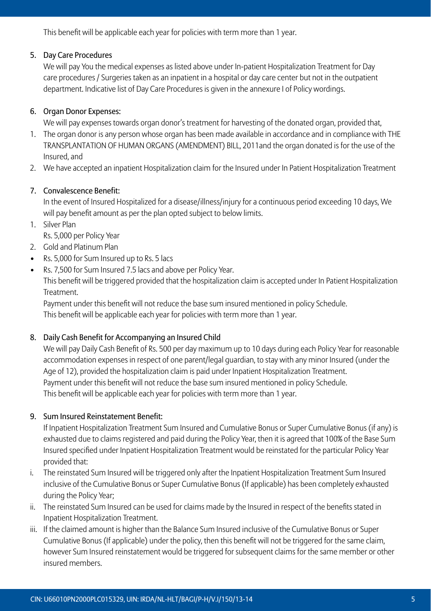This benefit will be applicable each year for policies with term more than 1 year.

## 5. Day Care Procedures

We will pay You the medical expenses as listed above under In-patient Hospitalization Treatment for Day care procedures / Surgeries taken as an inpatient in a hospital or day care center but not in the outpatient department. Indicative list of Day Care Procedures is given in the annexure I of Policy wordings.

## 6. Organ Donor Expenses:

We will pay expenses towards organ donor's treatment for harvesting of the donated organ, provided that,

- 1. The organ donor is any person whose organ has been made available in accordance and in compliance with THE TRANSPLANTATION OF HUMAN ORGANS (AMENDMENT) BILL, 2011and the organ donated is for the use of the Insured, and
- 2. We have accepted an inpatient Hospitalization claim for the Insured under In Patient Hospitalization Treatment

## 7. Convalescence Benefit:

In the event of Insured Hospitalized for a disease/illness/injury for a continuous period exceeding 10 days, We will pay benefit amount as per the plan opted subject to below limits.

1. Silver Plan

 Rs. 5,000 per Policy Year

- 2. Gold and Platinum Plan
- Rs. 5,000 for Sum Insured up to Rs. 5 lacs
- Rs. 7,500 for Sum Insured 7.5 lacs and above per Policy Year.

This benefit will be triggered provided that the hospitalization claim is accepted under In Patient Hospitalization Treatment.

 Payment under this benefit will not reduce the base sum insured mentioned in policy Schedule. This benefit will be applicable each year for policies with term more than 1 year.

## 8. Daily Cash Benefit for Accompanying an Insured Child

We will pay Daily Cash Benefit of Rs. 500 per day maximum up to 10 days during each Policy Year for reasonable accommodation expenses in respect of one parent/legal guardian, to stay with any minor Insured (under the Age of 12), provided the hospitalization claim is paid under Inpatient Hospitalization Treatment. Payment under this benefit will not reduce the base sum insured mentioned in policy Schedule. This benefit will be applicable each year for policies with term more than 1 year.

## 9. Sum Insured Reinstatement Benefit:

If Inpatient Hospitalization Treatment Sum Insured and Cumulative Bonus or Super Cumulative Bonus (if any) is exhausted due to claims registered and paid during the Policy Year, then it is agreed that 100% of the Base Sum Insured specified under Inpatient Hospitalization Treatment would be reinstated for the particular Policy Year provided that:

- i. The reinstated Sum Insured will be triggered only after the Inpatient Hospitalization Treatment Sum Insured inclusive of the Cumulative Bonus or Super Cumulative Bonus (If applicable) has been completely exhausted during the Policy Year;
- ii. The reinstated Sum Insured can be used for claims made by the Insured in respect of the benefits stated in Inpatient Hospitalization Treatment.
- iii. If the claimed amount is higher than the Balance Sum Insured inclusive of the Cumulative Bonus or Super Cumulative Bonus (If applicable) under the policy, then this benefit will not be triggered for the same claim, however Sum Insured reinstatement would be triggered for subsequent claims for the same member or other insured members.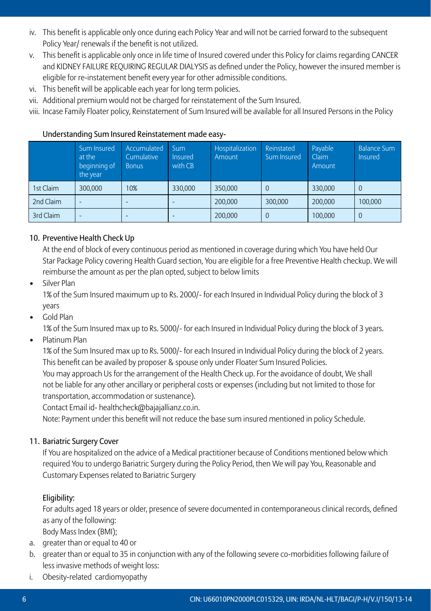- iv. This benefit is applicable only once during each Policy Year and will not be carried forward to the subsequent Policy Year/ renewals if the benefit is not utilized.
- v. This benefit is applicable only once in life time of Insured covered under this Policy for claims regarding CANCER and KIDNEY FAILURE REQUIRING REGULAR DIALYSIS as defined under the Policy, however the insured member is eligible for re-instatement benefit every year for other admissible conditions.
- vi. This benefit will be applicable each year for long term policies.
- vii. Additional premium would not be charged for reinstatement of the Sum Insured.

viii. Incase Family Floater policy, Reinstatement of Sum Insured will be available for all Insured Persons in the Policy

|           | Sum Insured<br>at the<br>beginning of<br>the year | Accumulated<br>Cumulative<br><b>Bonus</b> | <b>Sum</b><br><b>Insured</b><br>with CB | Hospitalization<br>Amount | Reinstated<br>Sum Insured | Pavable<br>Claim<br>Amount | <b>Balance Sum</b><br>Insured |
|-----------|---------------------------------------------------|-------------------------------------------|-----------------------------------------|---------------------------|---------------------------|----------------------------|-------------------------------|
| 1st Claim | 300,000                                           | 10%                                       | 330,000                                 | 350,000                   |                           | 330.000                    | $\Omega$                      |
| 2nd Claim |                                                   |                                           |                                         | 200,000                   | 300,000                   | 200.000                    | 100.000                       |
| 3rd Claim |                                                   |                                           | ۰                                       | 200,000                   |                           | 100,000                    | $\theta$                      |

## Understanding Sum Insured Reinstatement made easy-

## 10. Preventive Health Check Up

 At the end of block of every continuous period as mentioned in coverage during which You have held Our Star Package Policy covering Health Guard section, You are eligible for a free Preventive Health checkup. We will reimburse the amount as per the plan opted, subject to below limits

• Silver Plan

1% of the Sum Insured maximum up to Rs. 2000/- for each Insured in Individual Policy during the block of 3 years

• Gold Plan

 1% of the Sum Insured max up to Rs. 5000/- for each Insured in Individual Policy during the block of 3 years.

• Platinum Plan

1% of the Sum Insured max up to Rs. 5000/- for each Insured in Individual Policy during the block of 2 years. This benefit can be availed by proposer & spouse only under Floater Sum Insured Policies.

You may approach Us for the arrangement of the Health Check up. For the avoidance of doubt, We shall not be liable for any other ancillary or peripheral costs or expenses (including but not limited to those for transportation, accommodation or sustenance).

 Contact Email id- healthcheck@bajajallianz.co.in.

 Note: Payment under this benefit will not reduce the base sum insured mentioned in policy Schedule.

## 11. Bariatric Surgery Cover

If You are hospitalized on the advice of a Medical practitioner because of Conditions mentioned below which required You to undergo Bariatric Surgery during the Policy Period, then We will pay You, Reasonable and Customary Expenses related to Bariatric Surgery

## Eligibility:

For adults aged 18 years or older, presence of severe documented in contemporaneous clinical records, defined as any of the following:

 Body Mass Index (BMI);

- a. greater than or equal to 40 or
- b. greater than or equal to 35 in conjunction with any of the following severe co-morbidities following failure of less invasive methods of weight loss:
- i. Obesity-related cardiomyopathy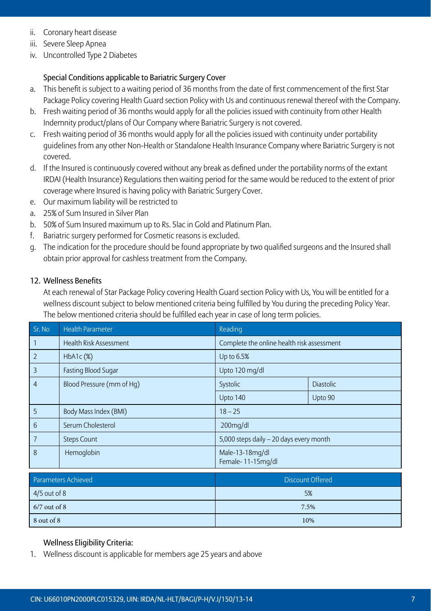- ii. Coronary heart disease
- iii. Severe Sleep Apnea
- iv. Uncontrolled Type 2 Diabetes

## Special Conditions applicable to Bariatric Surgery Cover

- a. This benefit is subject to a waiting period of 36 months from the date of first commencement of the first Star Package Policy covering Health Guard section Policy with Us and continuous renewal thereof with the Company.
- b. Fresh waiting period of 36 months would apply for all the policies issued with continuity from other Health Indemnity product/plans of Our Company where Bariatric Surgery is not covered.
- c. Fresh waiting period of 36 months would apply for all the policies issued with continuity under portability guidelines from any other Non-Health or Standalone Health Insurance Company where Bariatric Surgery is not covered.
- d. If the Insured is continuously covered without any break as defined under the portability norms of the extant IRDAI (Health Insurance) Regulations then waiting period for the same would be reduced to the extent of prior coverage where Insured is having policy with Bariatric Surgery Cover.
- e. Our maximum liability will be restricted to
- a. 25% of Sum Insured in Silver Plan
- b. 50% of Sum Insured maximum up to Rs. 5lac in Gold and Platinum Plan.
- f. Bariatric surgery performed for Cosmetic reasons is excluded.
- g. The indication for the procedure should be found appropriate by two qualified surgeons and the Insured shall obtain prior approval for cashless treatment from the Company.

#### 12. Wellness Benefits

At each renewal of Star Package Policy covering Health Guard section Policy with Us, You will be entitled for a wellness discount subject to below mentioned criteria being fulfilled by You during the preceding Policy Year. The below mentioned criteria should be fulfilled each year in case of long term policies.

| Sr. No          | <b>Health Parameter</b>   | Reading                                    |                  |  |
|-----------------|---------------------------|--------------------------------------------|------------------|--|
|                 | Health Risk Assessment    | Complete the online health risk assessment |                  |  |
| $\overline{2}$  | HbA1c (%)                 | Up to 6.5%                                 |                  |  |
| 3               | Fasting Blood Sugar       | Upto 120 mg/dl                             |                  |  |
| $\overline{4}$  | Blood Pressure (mm of Hq) | Systolic                                   | <b>Diastolic</b> |  |
|                 |                           | Upto 140                                   | Upto 90          |  |
| 5               | Body Mass Index (BMI)     | $18 - 25$                                  |                  |  |
| $6\overline{6}$ | Serum Cholesterol         | 200mg/dl                                   |                  |  |
| $\overline{7}$  | <b>Steps Count</b>        | 5,000 steps daily - 20 days every month    |                  |  |
| 8               | Hemoglobin                | Male-13-18mg/dl<br>Female-11-15mg/dl       |                  |  |

| Parameters Achieved | Discount Offered |
|---------------------|------------------|
| $4/5$ out of 8      | 5%               |
| $6/7$ out of 8      | 7.5%             |
| $8$ out of $8$      | 10%              |

## Wellness Eligibility Criteria:

1. Wellness discount is applicable for members age 25 years and above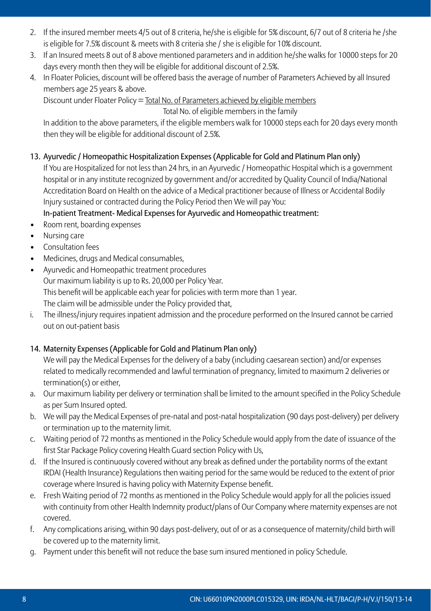- 2. If the insured member meets 4/5 out of 8 criteria, he/she is eligible for 5% discount, 6/7 out of 8 criteria he /she is eligible for 7.5% discount & meets with 8 criteria she / she is eligible for 10% discount.
- 3. If an Insured meets 8 out of 8 above mentioned parameters and in addition he/she walks for 10000 steps for 20 days every month then they will be eligible for additional discount of 2.5%.
- 4. In Floater Policies, discount will be offered basis the average of number of Parameters Achieved by all Insured members age 25 years & above.

 Discount under Floater Policy = Total No. of Parameters achieved by eligible members

 Total No. of eligible members in the family

In addition to the above parameters, if the eligible members walk for 10000 steps each for 20 days every month then they will be eligible for additional discount of 2.5%.

13. Ayurvedic / Homeopathic Hospitalization Expenses (Applicable for Gold and Platinum Plan only)

If You are Hospitalized for not less than 24 hrs, in an Ayurvedic / Homeopathic Hospital which is a government hospital or in any institute recognized by government and/or accredited by Quality Council of India/National Accreditation Board on Health on the advice of a Medical practitioner because of Illness or Accidental Bodily Injury sustained or contracted during the Policy Period then We will pay You:

In-patient Treatment- Medical Expenses for Ayurvedic and Homeopathic treatment:

- Room rent, boarding expenses
- • Nursing care
- Consultation fees
- Medicines, drugs and Medical consumables,
- • Ayurvedic and Homeopathic treatment procedures Our maximum liability is up to Rs. 20,000 per Policy Year. This benefit will be applicable each year for policies with term more than 1 year. The claim will be admissible under the Policy provided that,
- i. The illness/injury requires inpatient admission and the procedure performed on the Insured cannot be carried out on out-patient basis

## 14. Maternity Expenses (Applicable for Gold and Platinum Plan only)

We will pay the Medical Expenses for the delivery of a baby (including caesarean section) and/or expenses related to medically recommended and lawful termination of pregnancy, limited to maximum 2 deliveries or termination(s) or either,

- a. Our maximum liability per delivery or termination shall be limited to the amount specified in the Policy Schedule as per Sum Insured opted.
- b. We will pay the Medical Expenses of pre-natal and post-natal hospitalization (90 days post-delivery) per delivery or termination up to the maternity limit.
- c. Waiting period of 72 months as mentioned in the Policy Schedule would apply from the date of issuance of the first Star Package Policy covering Health Guard section Policy with Us,
- d. If the Insured is continuously covered without any break as defined under the portability norms of the extant IRDAI (Health Insurance) Regulations then waiting period for the same would be reduced to the extent of prior coverage where Insured is having policy with Maternity Expense benefit.
- e. Fresh Waiting period of 72 months as mentioned in the Policy Schedule would apply for all the policies issued with continuity from other Health Indemnity product/plans of Our Company where maternity expenses are not covered.
- f. Any complications arising, within 90 days post-delivery, out of or as a consequence of maternity/child birth will be covered up to the maternity limit.
- g. Payment under this benefit will not reduce the base sum insured mentioned in policy Schedule.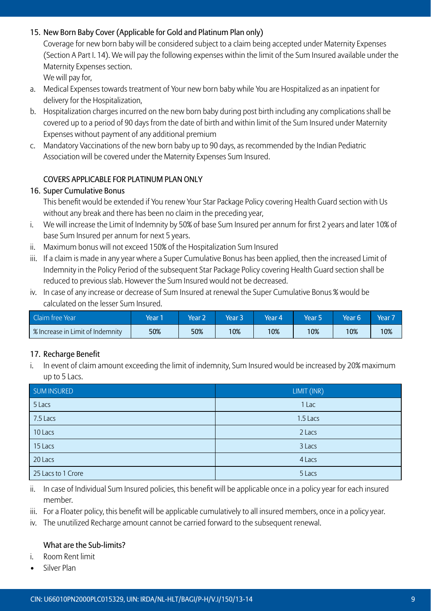## 15. New Born Baby Cover (Applicable for Gold and Platinum Plan only)

Coverage for new born baby will be considered subject to a claim being accepted under Maternity Expenses (Section A Part I. 14). We will pay the following expenses within the limit of the Sum Insured available under the Maternity Expenses section.

We will pay for.

- a. Medical Expenses towards treatment of Your new born baby while You are Hospitalized as an inpatient for delivery for the Hospitalization,
- b. Hospitalization charges incurred on the new born baby during post birth including any complications shall be covered up to a period of 90 days from the date of birth and within limit of the Sum Insured under Maternity Expenses without payment of any additional premium
- c. Mandatory Vaccinations of the new born baby up to 90 days, as recommended by the Indian Pediatric Association will be covered under the Maternity Expenses Sum Insured.

## COVERS APPLICABLE FOR PLATINUM PLAN ONLY

#### 16. Super Cumulative Bonus

This benefit would be extended if You renew Your Star Package Policy covering Health Guard section with Us without any break and there has been no claim in the preceding year,

- i. We will increase the Limit of Indemnity by 50% of base Sum Insured per annum for first 2 years and later 10% of base Sum Insured per annum for next 5 years.
- ii. Maximum bonus will not exceed 150% of the Hospitalization Sum Insured
- iii. If a claim is made in any year where a Super Cumulative Bonus has been applied, then the increased Limit of Indemnity in the Policy Period of the subsequent Star Package Policy covering Health Guard section shall be reduced to previous slab. However the Sum Insured would not be decreased.
- iv. In case of any increase or decrease of Sum Insured at renewal the Super Cumulative Bonus % would be calculated on the lesser Sum Insured.

| Claim free Year                  | Year | Year 2 | Year 3 | Year 4 | Year 5 | Year 6 | Year <sup>1</sup> |
|----------------------------------|------|--------|--------|--------|--------|--------|-------------------|
| S Increase in Limit of Indemnity | 50%  | 50%    | 0%     | 10%    | 10%    | 10%    | 10%               |

#### 17. Recharge Benefit

i. In event of claim amount exceeding the limit of indemnity, Sum Insured would be increased by 20% maximum up to 5 Lacs.

| SUM INSURED        | LIMIT (INR) |
|--------------------|-------------|
| 5 Lacs             | 1 Lac       |
| 7.5 Lacs           | 1.5 Lacs    |
| 10 Lacs            | 2 Lacs      |
| 15 Lacs            | 3 Lacs      |
| 20 Lacs            | 4 Lacs      |
| 25 Lacs to 1 Crore | 5 Lacs      |

- ii. In case of Individual Sum Insured policies, this benefit will be applicable once in a policy year for each insured member.
- iii. For a Floater policy, this benefit will be applicable cumulatively to all insured members, once in a policy year.
- iv. The unutilized Recharge amount cannot be carried forward to the subsequent renewal.

#### What are the Sub-limits?

- i. Room Rent limit
- Silver Plan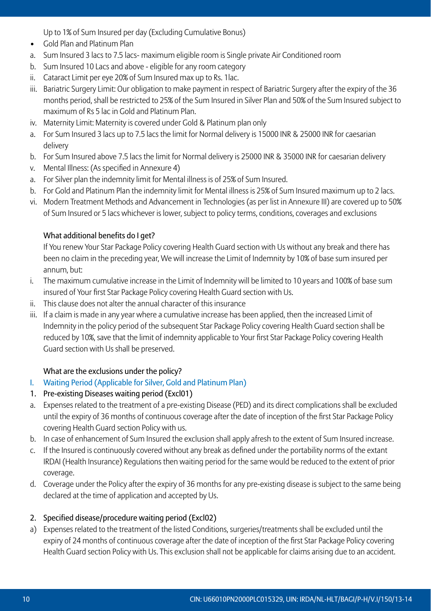Up to 1% of Sum Insured per day (Excluding Cumulative Bonus)

- • Gold Plan and Platinum Plan
- a. Sum Insured 3 lacs to 7.5 lacs- maximum eligible room is Single private Air Conditioned room
- b. Sum Insured 10 Lacs and above eligible for any room category
- ii. Cataract Limit per eye 20% of Sum Insured max up to Rs. 1lac.
- iii. Bariatric Surgery Limit: Our obligation to make payment in respect of Bariatric Surgery after the expiry of the 36 months period, shall be restricted to 25% of the Sum Insured in Silver Plan and 50% of the Sum Insured subject to maximum of Rs 5 lac in Gold and Platinum Plan.
- iv. Maternity Limit: Maternity is covered under Gold & Platinum plan only
- a. For Sum Insured 3 lacs up to 7.5 lacs the limit for Normal delivery is 15000 INR & 25000 INR for caesarian delivery
- b. For Sum Insured above 7.5 lacs the limit for Normal delivery is 25000 INR & 35000 INR for caesarian delivery
- v. Mental Illness: (As specified in Annexure 4)
- a. For Silver plan the indemnity limit for Mental illness is of 25% of Sum Insured.
- b. For Gold and Platinum Plan the indemnity limit for Mental illness is 25% of Sum Insured maximum up to 2 lacs.
- vi. Modern Treatment Methods and Advancement in Technologies (as per list in Annexure III) are covered up to 50% of Sum Insured or 5 lacs whichever is lower, subject to policy terms, conditions, coverages and exclusions

## What additional benefits do I get?

If You renew Your Star Package Policy covering Health Guard section with Us without any break and there has been no claim in the preceding year, We will increase the Limit of Indemnity by 10% of base sum insured per annum, but:

- i. The maximum cumulative increase in the Limit of Indemnity will be limited to 10 years and 100% of base sum insured of Your first Star Package Policy covering Health Guard section with Us.
- ii. This clause does not alter the annual character of this insurance
- iii. If a claim is made in any year where a cumulative increase has been applied, then the increased Limit of Indemnity in the policy period of the subsequent Star Package Policy covering Health Guard section shall be reduced by 10%, save that the limit of indemnity applicable to Your first Star Package Policy covering Health Guard section with Us shall be preserved.

## What are the exclusions under the policy?

- I. Waiting Period (Applicable for Silver, Gold and Platinum Plan)
- 1. Pre-existing Diseases waiting period (Excl01)
- a. Expenses related to the treatment of a pre-existing Disease (PED) and its direct complications shall be excluded until the expiry of 36 months of continuous coverage after the date of inception of the first Star Package Policy covering Health Guard section Policy with us.
- b. In case of enhancement of Sum Insured the exclusion shall apply afresh to the extent of Sum Insured increase.
- c. If the Insured is continuously covered without any break as defined under the portability norms of the extant IRDAI (Health Insurance) Regulations then waiting period for the same would be reduced to the extent of prior coverage.
- d. Coverage under the Policy after the expiry of 36 months for any pre-existing disease is subject to the same being declared at the time of application and accepted by Us.

## 2. Specified disease/procedure waiting period (Excl02)

a) Expenses related to the treatment of the listed Conditions, surgeries/treatments shall be excluded until the expiry of 24 months of continuous coverage after the date of inception of the first Star Package Policy covering Health Guard section Policy with Us. This exclusion shall not be applicable for claims arising due to an accident.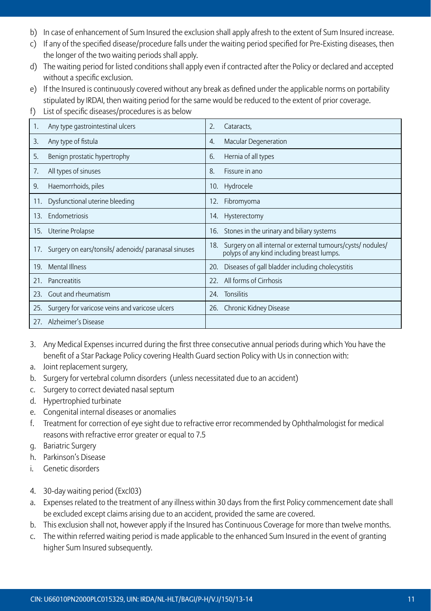- b) In case of enhancement of Sum Insured the exclusion shall apply afresh to the extent of Sum Insured increase.
- c) If any of the specified disease/procedure falls under the waiting period specified for Pre-Existing diseases, then the longer of the two waiting periods shall apply.
- d) The waiting period for listed conditions shall apply even if contracted after the Policy or declared and accepted without a specific exclusion.
- e) If the Insured is continuously covered without any break as defined under the applicable norms on portability stipulated by IRDAI, then waiting period for the same would be reduced to the extent of prior coverage.
- f) List of specific diseases/procedures is as below

| 1.  | Any type gastrointestinal ulcers                       | $\overline{2}$ . | Cataracts,                                                                                                |
|-----|--------------------------------------------------------|------------------|-----------------------------------------------------------------------------------------------------------|
| 3.  | Any type of fistula                                    | 4.               | Macular Degeneration                                                                                      |
| 5.  | Benign prostatic hypertrophy                           | 6.               | Hernia of all types                                                                                       |
| 7.  | All types of sinuses                                   | 8.               | Fissure in ano                                                                                            |
| 9.  | Haemorrhoids, piles                                    |                  | 10. Hydrocele                                                                                             |
| 11. | Dysfunctional uterine bleeding                         | 12.              | Fibromyoma                                                                                                |
| 13. | <b>Fndometriosis</b>                                   |                  | 14. Hysterectomy                                                                                          |
|     | 15. Uterine Prolapse                                   |                  | 16. Stones in the urinary and biliary systems                                                             |
|     | 17. Surgery on ears/tonsils/adenoids/paranasal sinuses | 18.              | Surgery on all internal or external tumours/cysts/ nodules/<br>polyps of any kind including breast lumps. |
| 19. | <b>Mental Illness</b>                                  | 20.              | Diseases of gall bladder including cholecystitis                                                          |
| 21. | Pancreatitis                                           | 22               | All forms of Cirrhosis                                                                                    |
| 23. | Gout and rheumatism                                    | 24.              | Tonsilitis                                                                                                |
| 25. | Surgery for varicose veins and varicose ulcers         | 26.              | Chronic Kidney Disease                                                                                    |
| 27. | Alzheimer's Disease                                    |                  |                                                                                                           |

- 3. Any Medical Expenses incurred during the first three consecutive annual periods during which You have the benefit of a Star Package Policy covering Health Guard section Policy with Us in connection with:
- a. Joint replacement surgery,
- b. Surgery for vertebral column disorders (unless necessitated due to an accident)
- c. Surgery to correct deviated nasal septum
- d. Hypertrophied turbinate
- e. Congenital internal diseases or anomalies
- f. Treatment for correction of eye sight due to refractive error recommended by Ophthalmologist for medical reasons with refractive error greater or equal to 7.5
- g. Bariatric Surgery
- h. Parkinson's Disease
- i. Genetic disorders
- 4. 30-day waiting period (Excl03)
- a. Expenses related to the treatment of any illness within 30 days from the first Policy commencement date shall be excluded except claims arising due to an accident, provided the same are covered.
- b. This exclusion shall not, however apply if the Insured has Continuous Coverage for more than twelve months.
- c. The within referred waiting period is made applicable to the enhanced Sum Insured in the event of granting higher Sum Insured subsequently.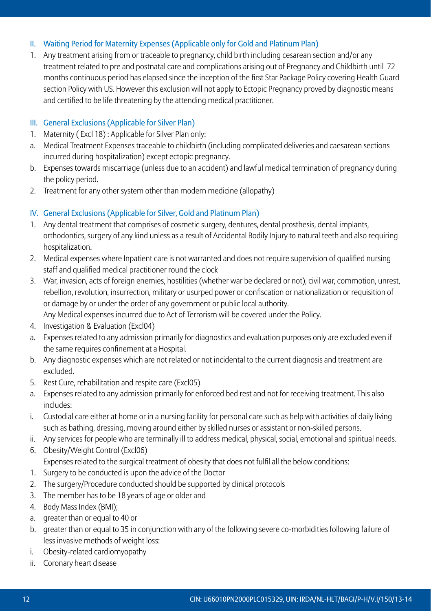## II. Waiting Period for Maternity Expenses (Applicable only for Gold and Platinum Plan)

1. Any treatment arising from or traceable to pregnancy, child birth including cesarean section and/or any treatment related to pre and postnatal care and complications arising out of Pregnancy and Childbirth until 72 months continuous period has elapsed since the inception of the first Star Package Policy covering Health Guard section Policy with US. However this exclusion will not apply to Ectopic Pregnancy proved by diagnostic means and certified to be life threatening by the attending medical practitioner.

## III. General Exclusions (Applicable for Silver Plan)

- 1. Maternity (Excl 18): Applicable for Silver Plan only:
- a. Medical Treatment Expenses traceable to childbirth (including complicated deliveries and caesarean sections incurred during hospitalization) except ectopic pregnancy.
- b. Expenses towards miscarriage (unless due to an accident) and lawful medical termination of pregnancy during the policy period.
- 2. Treatment for any other system other than modern medicine (allopathy)

## IV. General Exclusions (Applicable for Silver, Gold and Platinum Plan)

- 1. Any dental treatment that comprises of cosmetic surgery, dentures, dental prosthesis, dental implants, orthodontics, surgery of any kind unless as a result of Accidental Bodily Injury to natural teeth and also requiring hospitalization.
- 2. Medical expenses where Inpatient care is not warranted and does not require supervision of qualified nursing staff and qualified medical practitioner round the clock
- 3. War, invasion, acts of foreign enemies, hostilities (whether war be declared or not), civil war, commotion, unrest, rebellion, revolution, insurrection, military or usurped power or confiscation or nationalization or requisition of or damage by or under the order of any government or public local authority. Any Medical expenses incurred due to Act of Terrorism will be covered under the Policy.
- 4. Investigation & Evaluation (Excl04)
- a. Expenses related to any admission primarily for diagnostics and evaluation purposes only are excluded even if the same requires confinement at a Hospital.
- b. Any diagnostic expenses which are not related or not incidental to the current diagnosis and treatment are excluded.
- 5. Rest Cure, rehabilitation and respite care (Excl05)
- a. Expenses related to any admission primarily for enforced bed rest and not for receiving treatment. This also includes:
- i. Custodial care either at home or in a nursing facility for personal care such as help with activities of daily living such as bathing, dressing, moving around either by skilled nurses or assistant or non-skilled persons.
- ii. Any services for people who are terminally ill to address medical, physical, social, emotional and spiritual needs.
- 6. Obesity/Weight Control (Excl06) Expenses related to the surgical treatment of obesity that does not fulfil all the below conditions:
- 1. Surgery to be conducted is upon the advice of the Doctor
- 2. The surgery/Procedure conducted should be supported by clinical protocols
- 3. The member has to be 18 years of age or older and
- 4. Body Mass Index (BMI):
- a. greater than or equal to 40 or
- b. greater than or equal to 35 in conjunction with any of the following severe co-morbidities following failure of less invasive methods of weight loss:
- i. Obesity-related cardiomyopathy
- ii. Coronary heart disease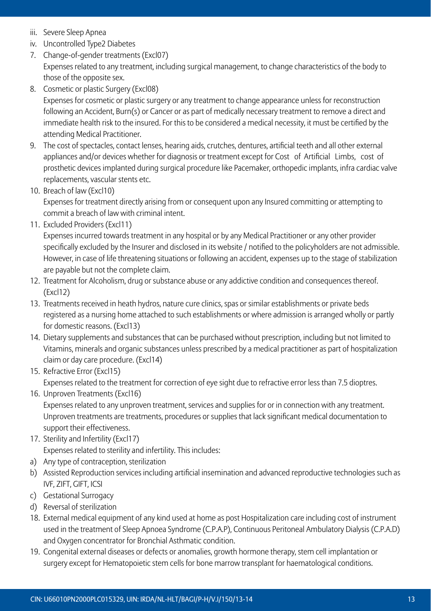- iii. Severe Sleep Apnea
- iv. Uncontrolled Type2 Diabetes
- 7. Change-of-gender treatments (Excl07) Expenses related to any treatment, including surgical management, to change characteristics of the body to those of the opposite sex.
- 8. Cosmetic or plastic Surgery (Excl08) Expenses for cosmetic or plastic surgery or any treatment to change appearance unless for reconstruction following an Accident, Burn(s) or Cancer or as part of medically necessary treatment to remove a direct and immediate health risk to the insured. For this to be considered a medical necessity, it must be certified by the attending Medical Practitioner.
- 9. The cost of spectacles, contact lenses, hearing aids, crutches, dentures, artificial teeth and all other external appliances and/or devices whether for diagnosis or treatment except for Cost of Artificial Limbs, cost of prosthetic devices implanted during surgical procedure like Pacemaker, orthopedic implants, infra cardiac valve replacements, vascular stents etc.
- 10. Breach of law (Excl10)

Expenses for treatment directly arising from or consequent upon any Insured committing or attempting to commit a breach of law with criminal intent.

11. Excluded Providers (Excl11)

Expenses incurred towards treatment in any hospital or by any Medical Practitioner or any other provider specifically excluded by the Insurer and disclosed in its website / notified to the policyholders are not admissible. However, in case of life threatening situations or following an accident, expenses up to the stage of stabilization are payable but not the complete claim.

- 12. Treatment for Alcoholism, drug or substance abuse or any addictive condition and consequences thereof. (Excl12)
- 13. Treatments received in heath hydros, nature cure clinics, spas or similar establishments or private beds registered as a nursing home attached to such establishments or where admission is arranged wholly or partly for domestic reasons. (Excl13)
- 14. Dietary supplements and substances that can be purchased without prescription, including but not limited to Vitamins, minerals and organic substances unless prescribed by a medical practitioner as part of hospitalization claim or day care procedure. (Excl14)
- 15. Refractive Error (Excl15)

Expenses related to the treatment for correction of eye sight due to refractive error less than 7.5 dioptres.

- 16. Unproven Treatments (Excl16) Expenses related to any unproven treatment, services and supplies for or in connection with any treatment. Unproven treatments are treatments, procedures or supplies that lack significant medical documentation to support their effectiveness.
- 17. Sterility and Infertility (Excl17)

Expenses related to sterility and infertility. This includes:

- a) Any type of contraception, sterilization
- b) Assisted Reproduction services including artificial insemination and advanced reproductive technologies such as IVF, ZIFT, GIFT, ICSI
- c) Gestational Surrogacy
- d) Reversal of sterilization
- 18. External medical equipment of any kind used at home as post Hospitalization care including cost of instrument used in the treatment of Sleep Apnoea Syndrome (C.P.A.P), Continuous Peritoneal Ambulatory Dialysis (C.P.A.D) and Oxygen concentrator for Bronchial Asthmatic condition.
- 19. Congenital external diseases or defects or anomalies, growth hormone therapy, stem cell implantation or surgery except for Hematopoietic stem cells for bone marrow transplant for haematological conditions.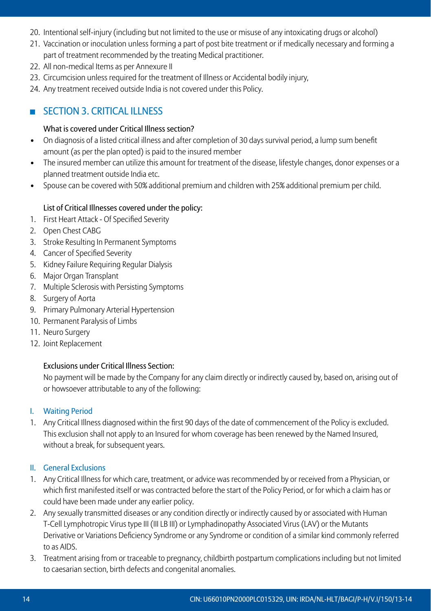- 20. Intentional self-injury (including but not limited to the use or misuse of any intoxicating drugs or alcohol)
- 21. Vaccination or inoculation unless forming a part of post bite treatment or if medically necessary and forming a part of treatment recommended by the treating Medical practitioner.
- 22. All non-medical Items as per Annexure II
- 23. Circumcision unless required for the treatment of Illness or Accidental bodily injury,
- 24. Any treatment received outside India is not covered under this Policy.

# **SECTION 3. CRITICAL ILLNESS**

## What is covered under Critical Illness section?

- On diagnosis of a listed critical illness and after completion of 30 days survival period, a lump sum benefit amount (as per the plan opted) is paid to the insured member
- The insured member can utilize this amount for treatment of the disease, lifestyle changes, donor expenses or a planned treatment outside India etc.
- Spouse can be covered with 50% additional premium and children with 25% additional premium per child.

## List of Critical Illnesses covered under the policy:

- 1. First Heart Attack Of Specified Severity
- 2. Open Chest CABG
- 3. Stroke Resulting In Permanent Symptoms
- 4. Cancer of Specified Severity
- 5. Kidney Failure Requiring Regular Dialysis
- 6. Major Organ Transplant
- 7. Multiple Sclerosis with Persisting Symptoms
- 8. Surgery of Aorta
- 9. Primary Pulmonary Arterial Hypertension
- 10. Permanent Paralysis of Limbs
- 11. Neuro Surgery
- 12. Joint Replacement

## Exclusions under Critical Illness Section:

No payment will be made by the Company for any claim directly or indirectly caused by, based on, arising out of or howsoever attributable to any of the following:

## I. Waiting Period

1. Any Critical Illness diagnosed within the first 90 days of the date of commencement of the Policy is excluded. This exclusion shall not apply to an Insured for whom coverage has been renewed by the Named Insured, without a break, for subsequent years.

#### II. General Exclusions

- 1. Any Critical Illness for which care, treatment, or advice was recommended by or received from a Physician, or which first manifested itself or was contracted before the start of the Policy Period, or for which a claim has or could have been made under any earlier policy.
- 2. Any sexually transmitted diseases or any condition directly or indirectly caused by or associated with Human T-Cell Lymphotropic Virus type III (III LB III) or Lymphadinopathy Associated Virus (LAV) or the Mutants Derivative or Variations Deficiency Syndrome or any Syndrome or condition of a similar kind commonly referred to as AIDS.
- 3. Treatment arising from or traceable to pregnancy, childbirth postpartum complications including but not limited to caesarian section, birth defects and congenital anomalies.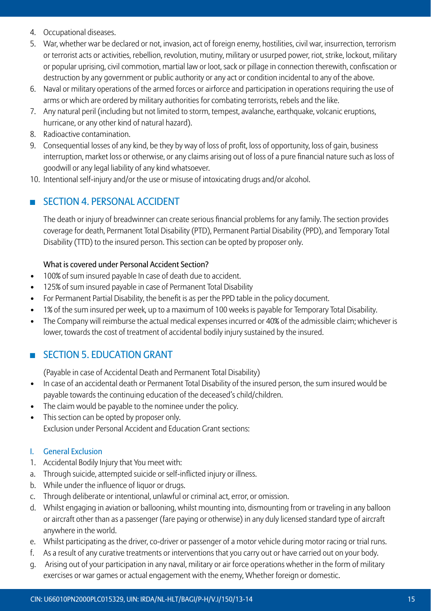- 4. Occupational diseases.
- 5. War, whether war be declared or not, invasion, act of foreign enemy, hostilities, civil war, insurrection, terrorism or terrorist acts or activities, rebellion, revolution, mutiny, military or usurped power, riot, strike, lockout, military or popular uprising, civil commotion, martial law or loot, sack or pillage in connection therewith, confiscation or destruction by any government or public authority or any act or condition incidental to any of the above.
- 6. Naval or military operations of the armed forces or airforce and participation in operations requiring the use of arms or which are ordered by military authorities for combating terrorists, rebels and the like.
- 7. Any natural peril (including but not limited to storm, tempest, avalanche, earthquake, volcanic eruptions, hurricane, or any other kind of natural hazard).
- 8. Radioactive contamination.
- 9. Consequential losses of any kind, be they by way of loss of profit, loss of opportunity, loss of gain, business interruption, market loss or otherwise, or any claims arising out of loss of a pure financial nature such as loss of goodwill or any legal liability of any kind whatsoever.
- 10. Intentional self-injury and/or the use or misuse of intoxicating drugs and/or alcohol.

## SECTION 4. PERSONAL ACCIDENT

The death or injury of breadwinner can create serious financial problems for any family. The section provides coverage for death, Permanent Total Disability (PTD), Permanent Partial Disability (PPD), and Temporary Total Disability (TTD) to the insured person. This section can be opted by proposer only.

## What is covered under Personal Accident Section?

- 100% of sum insured payable In case of death due to accident.
- 125% of sum insured payable in case of Permanent Total Disability
- For Permanent Partial Disability, the benefit is as per the PPD table in the policy document.
- 1% of the sum insured per week, up to a maximum of 100 weeks is payable for Temporary Total Disability.
- • The Company will reimburse the actual medical expenses incurred or 40% of the admissible claim; whichever is lower, towards the cost of treatment of accidental bodily injury sustained by the insured.

## **SECTION 5. EDUCATION GRANT**

 (Payable in case of Accidental Death and Permanent Total Disability)

- In case of an accidental death or Permanent Total Disability of the insured person, the sum insured would be payable towards the continuing education of the deceased's child/children.
- The claim would be payable to the nominee under the policy.
- This section can be opted by proposer only. Exclusion under Personal Accident and Education Grant sections:

## I. General Exclusion

- 1. Accidental Bodily Injury that You meet with:
- a. Through suicide, attempted suicide or self-inflicted injury or illness.
- b. While under the influence of liquor or drugs.
- c. Through deliberate or intentional, unlawful or criminal act, error, or omission.
- d. Whilst engaging in aviation or ballooning, whilst mounting into, dismounting from or traveling in any balloon or aircraft other than as a passenger (fare paying or otherwise) in any duly licensed standard type of aircraft anywhere in the world.
- e. Whilst participating as the driver, co-driver or passenger of a motor vehicle during motor racing or trial runs.
- f. As a result of any curative treatments or interventions that you carry out or have carried out on your body.
- g. Arising out of your participation in any naval, military or air force operations whether in the form of military exercises or war games or actual engagement with the enemy, Whether foreign or domestic.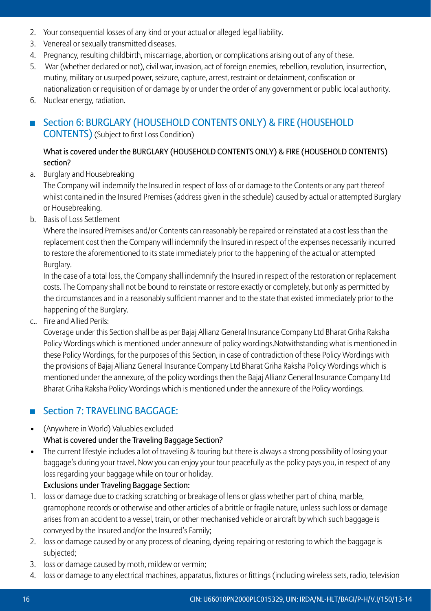- 2. Your consequential losses of any kind or your actual or alleged legal liability.
- 3. Venereal or sexually transmitted diseases.
- 4. Pregnancy, resulting childbirth, miscarriage, abortion, or complications arising out of any of these.
- 5. War (whether declared or not), civil war, invasion, act of foreign enemies, rebellion, revolution, insurrection, mutiny, military or usurped power, seizure, capture, arrest, restraint or detainment, confiscation or nationalization or requisition of or damage by or under the order of any government or public local authority.
- 6. Nuclear energy, radiation.
- Section 6: BURGLARY (HOUSEHOLD CONTENTS ONLY) & FIRE (HOUSEHOLD CONTENTS)(Subject to first Loss Condition)

## What is covered under the BURGLARY (HOUSEHOLD CONTENTS ONLY) & FIRE (HOUSEHOLD CONTENTS) section?

a. Burglary and Housebreaking

The Company will indemnify the Insured in respect of loss of or damage to the Contents or any part thereof whilst contained in the Insured Premises (address given in the schedule) caused by actual or attempted Burglary or Housebreaking.

b. Basis of Loss Settlement

Where the Insured Premises and/or Contents can reasonably be repaired or reinstated at a cost less than the replacement cost then the Company will indemnify the Insured in respect of the expenses necessarily incurred to restore the aforementioned to its state immediately prior to the happening of the actual or attempted Burglary.

In the case of a total loss, the Company shall indemnify the Insured in respect of the restoration or replacement costs. The Company shall not be bound to reinstate or restore exactly or completely, but only as permitted by the circumstances and in a reasonably sufficient manner and to the state that existed immediately prior to the happening of the Burglary.

c.. Fire and Allied Perils:

Coverage under this Section shall be as per Bajaj Allianz General Insurance Company Ltd Bharat Griha Raksha Policy Wordings which is mentioned under annexure of policy wordings.Notwithstanding what is mentioned in these Policy Wordings, for the purposes of this Section, in case of contradiction of these Policy Wordings with the provisions of Bajaj Allianz General Insurance Company Ltd Bharat Griha Raksha Policy Wordings which is mentioned under the annexure, of the policy wordings then the Bajaj Allianz General Insurance Company Ltd Bharat Griha Raksha Policy Wordings which is mentioned under the annexure of the Policy wordings.

# **Section 7: TRAVELING BAGGAGE:**

- • (Anywhere in World) Valuables excluded What is covered under the Traveling Baggage Section?
- The current lifestyle includes a lot of traveling & touring but there is always a strong possibility of losing your baggage's during your travel. Now you can enjoy your tour peacefully as the policy pays you, in respect of any loss regarding your baggage while on tour or holiday. Exclusions under Traveling Baggage Section:
- 1. loss or damage due to cracking scratching or breakage of lens or glass whether part of china, marble, gramophone records or otherwise and other articles of a brittle or fragile nature, unless such loss or damage arises from an accident to a vessel, train, or other mechanised vehicle or aircraft by which such baggage is conveyed by the Insured and/or the Insured's Family;
- 2. loss or damage caused by or any process of cleaning, dyeing repairing or restoring to which the baggage is subjected;
- 3. loss or damage caused by moth, mildew or vermin;
- 4. loss or damage to any electrical machines, apparatus, fixtures or fittings (including wireless sets, radio, television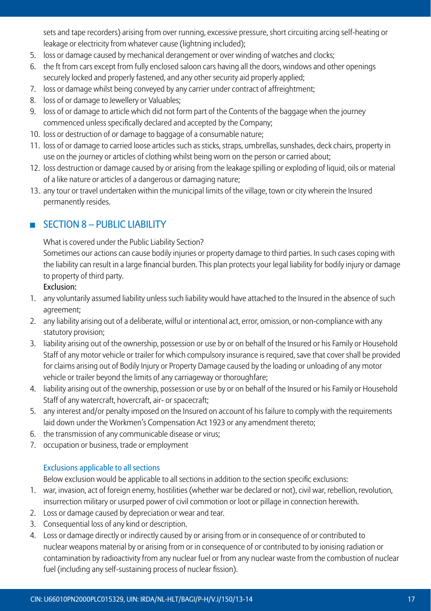sets and tape recorders) arising from over running, excessive pressure, short circuiting arcing self-heating or leakage or electricity from whatever cause (lightning included);

- 5. loss or damage caused by mechanical derangement or over winding of watches and clocks;
- 6. the ft from cars except from fully enclosed saloon cars having all the doors, windows and other openings securely locked and properly fastened, and any other security aid properly applied;
- 7. loss or damage whilst being conveyed by any carrier under contract of affreightment;
- 8. loss of or damage to Jewellery or Valuables;
- 9. Ioss of or damage to article which did not form part of the Contents of the baggage when the journey commenced unless specifically declared and accepted by the Company;
- 10. loss or destruction of or damage to baggage of a consumable nature;
- 11. loss of or damage to carried loose articles such as sticks, straps, umbrellas, sunshades, deck chairs, property in use on the journey or articles of clothing whilst being worn on the person or carried about;
- 12. loss destruction or damage caused by or arising from the leakage spilling or exploding of liquid, oils or material of a like nature or articles of a dangerous or damaging nature;
- 13. any tour or travel undertaken within the municipal limits of the village, town or city wherein the Insured permanently resides.

## $S$ FCTION 8 – PUBLIC LIABILITY

 What is covered under the Public Liability Section?

Sometimes our actions can cause bodily injuries or property damage to third parties. In such cases coping with the liability can result in a large financial burden. This plan protects your legal liability for bodily injury or damage to property of third party.

## Exclusion:

- 1. any voluntarily assumed liability unless such liability would have attached to the Insured in the absence of such agreement;
- 2. any liability arising out of a deliberate, wilful or intentional act, error, omission, or non-compliance with any statutory provision;
- 3. liability arising out of the ownership, possession or use by or on behalf of the Insured or his Family or Household Staff of any motor vehicle or trailer for which compulsory insurance is required, save that cover shall be provided for claims arising out of Bodily Injury or Property Damage caused by the loading or unloading of any motor vehicle or trailer beyond the limits of any carriageway or thoroughfare;
- 4. liability arising out of the ownership, possession or use by or on behalf of the Insured or his Family or Household Staff of any watercraft, hovercraft, air- or spacecraft;
- 5. any interest and/or penalty imposed on the Insured on account of his failure to comply with the requirements laid down under the Workmen's Compensation Act 1923 or any amendment thereto;
- 6. the transmission of any communicable disease or virus;
- 7. occupation or business, trade or employment

## Exclusions applicable to all sections

 Below exclusion would be applicable to all sections in addition to the section specific exclusions:

- 1. war, invasion, act of foreign enemy, hostilities (whether war be declared or not), civil war, rebellion, revolution, insurrection military or usurped power of civil commotion or loot or pillage in connection herewith.
- 2. Loss or damage caused by depreciation or wear and tear.
- 3. Consequential loss of any kind or description.
- 4. Loss or damage directly or indirectly caused by or arising from or in consequence of or contributed to nuclear weapons material by or arising from or in consequence of or contributed to by ionising radiation or contamination by radioactivity from any nuclear fuel or from any nuclear waste from the combustion of nuclear fuel (including any self-sustaining process of nuclear fission).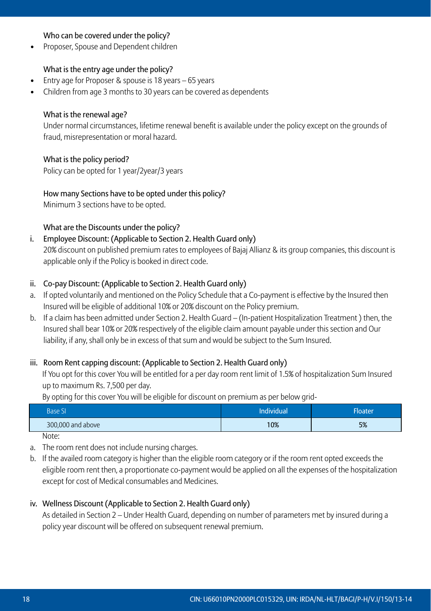#### Who can be covered under the policy?

Proposer, Spouse and Dependent children

#### What is the entry age under the policy?

- Entry age for Proposer & spouse is 18 years 65 years
- Children from age 3 months to 30 years can be covered as dependents

#### What is the renewal age?

Under normal circumstances, lifetime renewal benefit is available under the policy except on the grounds of fraud, misrepresentation or moral hazard.

#### What is the policy period?

 Policy can be opted for 1 year/2year/3 years

#### How many Sections have to be opted under this policy?

 Minimum 3 sections have to be opted.

#### What are the Discounts under the policy?

### i. Employee Discount: (Applicable to Section 2. Health Guard only)

20% discount on published premium rates to employees of Bajaj Allianz & its group companies, this discount is applicable only if the Policy is booked in direct code.

#### ii. Co-pay Discount: (Applicable to Section 2. Health Guard only)

- a. If opted voluntarily and mentioned on the Policy Schedule that a Co-payment is effective by the Insured then Insured will be eligible of additional 10% or 20% discount on the Policy premium.
- b. If a claim has been admitted under Section 2. Health Guard (In-patient Hospitalization Treatment) then, the Insured shall bear 10% or 20% respectively of the eligible claim amount payable under this section and Our liability, if any, shall only be in excess of that sum and would be subject to the Sum Insured.

#### iii. Room Rent capping discount: (Applicable to Section 2. Health Guard only)

If You opt for this cover You will be entitled for a per day room rent limit of 1.5% of hospitalization Sum Insured up to maximum Rs. 7,500 per day.

 By opting for this cover You will be eligible for discount on premium as per below grid-

| Base SI           | Individual | <b>Floater</b> |
|-------------------|------------|----------------|
| 300,000 and above | 10%        | 5%             |

 Note:

- a. The room rent does not include nursing charges.
- b. If the availed room category is higher than the eligible room category or if the room rent opted exceeds the eligible room rent then, a proportionate co-payment would be applied on all the expenses of the hospitalization except for cost of Medical consumables and Medicines.

#### iv. Wellness Discount (Applicable to Section 2. Health Guard only)

As detailed in Section 2 – Under Health Guard, depending on number of parameters met by insured during a policy year discount will be offered on subsequent renewal premium.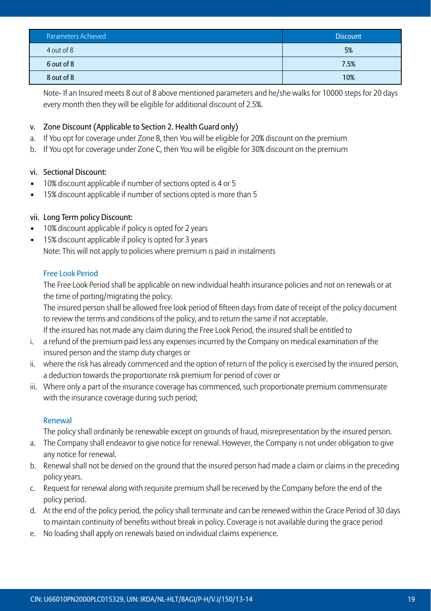| Parameters Achieved | <b>Discount</b> |
|---------------------|-----------------|
| 4 out of 8          | 5%              |
| 6 out of 8          | 7.5%            |
| 8 out of 8          | 10%             |

Note- If an Insured meets 8 out of 8 above mentioned parameters and he/she walks for 10000 steps for 20 days every month then they will be eligible for additional discount of 2.5%.

## v. Zone Discount (Applicable to Section 2. Health Guard only)

- a. If You opt for coverage under Zone B, then You will be eligible for 20% discount on the premium
- b. If You opt for coverage under Zone C, then You will be eligible for 30% discount on the premium

## vi. Sectional Discount:

- 10% discount applicable if number of sections opted is 4 or 5
- 15% discount applicable if number of sections opted is more than 5

## vii. Long Term policy Discount:

- 10% discount applicable if policy is opted for 2 years
- 15% discount applicable if policy is opted for 3 years
	- Note: This will not apply to policies where premium is paid in instalments

## Free Look Period

The Free Look Period shall be applicable on new individual health insurance policies and not on renewals or at the time of porting/migrating the policy.

The insured person shall be allowed free look period of fifteen days from date of receipt of the policy document to review the terms and conditions of the policy, and to return the same if not acceptable.

 If the insured has not made any claim during the Free Look Period, the insured shall be entitled to

- i. a refund of the premium paid less any expenses incurred by the Company on medical examination of the insured person and the stamp duty charges or
- ii. where the risk has already commenced and the option of return of the policy is exercised by the insured person, a deduction towards the proportionate risk premium for period of cover or
- iii. Where only a part of the insurance coverage has commenced, such proportionate premium commensurate with the insurance coverage during such period;

#### Renewal

 The policy shall ordinarily be renewable except on grounds of fraud, misrepresentation by the insured person.

- a. The Company shall endeavor to give notice for renewal. However, the Company is not under obligation to give any notice for renewal.
- b. Renewal shall not be denied on the ground that the insured person had made a claim or claims in the preceding policy years.
- c. Request for renewal along with requisite premium shall be received by the Company before the end of the policy period.
- d. At the end of the policy period, the policy shall terminate and can be renewed within the Grace Period of 30 days to maintain continuity of benefits without break in policy. Coverage is not available during the grace period
- e. No loading shall apply on renewals based on individual claims experience.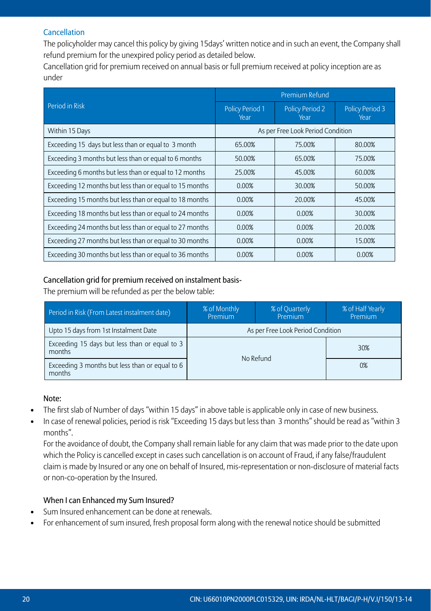## **Cancellation**

The policyholder may cancel this policy by giving 15days' written notice and in such an event, the Company shall refund premium for the unexpired policy period as detailed below.

Cancellation grid for premium received on annual basis or full premium received at policy inception are as under

|                                                         |                                   | Premium Refund                 |                                |  |
|---------------------------------------------------------|-----------------------------------|--------------------------------|--------------------------------|--|
| Period in Risk                                          | <b>Policy Period 1</b><br>Year    | <b>Policy Period 2</b><br>Year | <b>Policy Period 3</b><br>Year |  |
| Within 15 Days                                          | As per Free Look Period Condition |                                |                                |  |
| Exceeding 15 days but less than or equal to 3 month     | 65.00%                            | 75.00%                         | 80.00%                         |  |
| Exceeding 3 months but less than or equal to 6 months   | 50.00%                            | 65.00%                         | 75.00%                         |  |
| Exceeding 6 months but less than or equal to 12 months  | 25.00%                            | 45.00%                         | 60.00%                         |  |
| Exceeding 12 months but less than or equal to 15 months | 0.00%                             | 30.00%                         | 50.00%                         |  |
| Exceeding 15 months but less than or equal to 18 months | 0.00%                             | 20.00%                         | 45.00%                         |  |
| Exceeding 18 months but less than or equal to 24 months | 0.00%                             | 0.00%                          | 30.00%                         |  |
| Exceeding 24 months but less than or equal to 27 months | 0.00%                             | 0.00%                          | 20.00%                         |  |
| Exceeding 27 months but less than or equal to 30 months | 0.00%                             | 0.00%                          | 15.00%                         |  |
| Exceeding 30 months but less than or equal to 36 months | 0.00%                             | 0.00%                          | 0.00%                          |  |

## Cancellation grid for premium received on instalment basis-

 The premium will be refunded as per the below table:

| Period in Risk (From Latest instalment date)             | % of Monthly<br>Premium | % of Quarterly<br>Premium         | % of Half Yearly<br>Premium |
|----------------------------------------------------------|-------------------------|-----------------------------------|-----------------------------|
| Upto 15 days from 1st Instalment Date                    |                         | As per Free Look Period Condition |                             |
| Exceeding 15 days but less than or equal to 3<br>months  |                         | No Refund                         | 30%                         |
| Exceeding 3 months but less than or equal to 6<br>months |                         |                                   | 0%                          |

#### Note:

- • The first slab of Number of days "within 15 days" in above table is applicable only in case of new business.
	- In case of renewal policies, period is risk "Exceeding 15 days but less than 3 months" should be read as "within 3 months".

For the avoidance of doubt, the Company shall remain liable for any claim that was made prior to the date upon which the Policy is cancelled except in cases such cancellation is on account of Fraud, if any false/fraudulent claim is made by Insured or any one on behalf of Insured, mis-representation or non-disclosure of material facts or non-co-operation by the Insured.

## When I can Enhanced my Sum Insured?

- Sum Insured enhancement can be done at renewals.
- For enhancement of sum insured, fresh proposal form along with the renewal notice should be submitted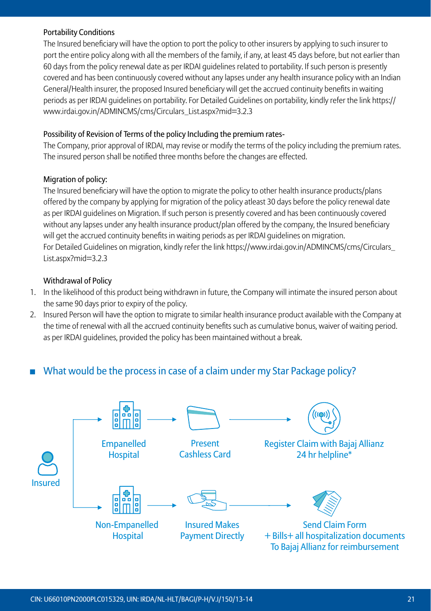#### Portability Conditions

The Insured beneficiary will have the option to port the policy to other insurers by applying to such insurer to port the entire policy along with all the members of the family, if any, at least 45 days before, but not earlier than 60 days from the policy renewal date as per IRDAI guidelines related to portability. If such person is presently covered and has been continuously covered without any lapses under any health insurance policy with an Indian General/Health insurer, the proposed Insured beneficiary will get the accrued continuity benefits in waiting periods as per IRDAI guidelines on portability. For Detailed Guidelines on portability, kindly refer the link https:// www.irdai.gov.in/ADMINCMS/cms/Circulars\_List.aspx?mid=3.2.3

#### Possibility of Revision of Terms of the policy Including the premium rates-

The Company, prior approval of IRDAI, may revise or modify the terms of the policy including the premium rates. The insured person shall be notified three months before the changes are effected.

#### Migration of policy:

The Insured beneficiary will have the option to migrate the policy to other health insurance products/plans offered by the company by applying for migration of the policy atleast 30 days before the policy renewal date as per IRDAI guidelines on Migration. If such person is presently covered and has been continuously covered without any lapses under any health insurance product/plan offered by the company, the Insured beneficiary will get the accrued continuity benefits in waiting periods as per IRDAI guidelines on migration. For Detailed Guidelines on migration, kindly refer the link https://www.irdai.gov.in/ADMINCMS/cms/Circulars\_ List.aspx?mid=3.2.3

#### Withdrawal of Policy

- 1. In the likelihood of this product being withdrawn in future, the Company will intimate the insured person about the same 90 days prior to expiry of the policy.
- 2. Insured Person will have the option to migrate to similar health insurance product available with the Company at the time of renewal with all the accrued continuity benefits such as cumulative bonus, waiver of waiting period. as per IRDAI guidelines, provided the policy has been maintained without a break.

## What would be the process in case of a claim under my Star Package policy?

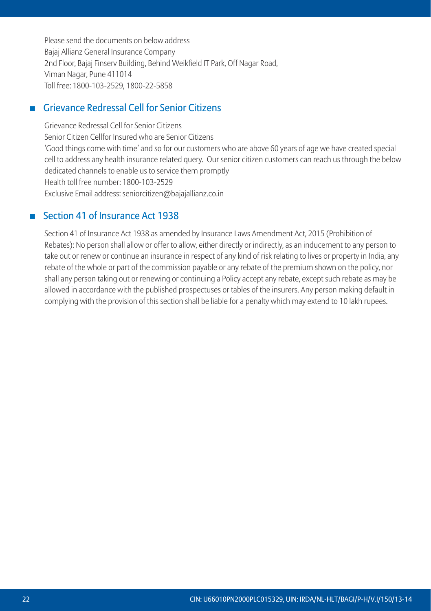Please send the documents on below address Bajaj Allianz General Insurance Company 2nd Floor, Bajaj Finserv Building, Behind Weikfield IT Park, Off Nagar Road, Viman Nagar, Pune 411014 Toll free: 1800-103-2529, 1800-22-5858

# Grievance Redressal Cell for Senior Citizens

 Grievance Redressal Cell for Senior Citizens Senior Citizen Cellfor Insured who are Senior Citizens 'Good things come with time' and so for our customers who are above 60 years of age we have created special cell to address any health insurance related query. Our senior citizen customers can reach us through the below dedicated channels to enable us to service them promptly Health toll free number: 1800-103-2529 Exclusive Email address: seniorcitizen@bajajallianz.co.in

## ■ Section 41 of Insurance Act 1938

 Section 41 of Insurance Act 1938 as amended by Insurance Laws Amendment Act, 2015 (Prohibition of Rebates): No person shall allow or offer to allow, either directly or indirectly, as an inducement to any person to take out or renew or continue an insurance in respect of any kind of risk relating to lives or property in India, any rebate of the whole or part of the commission payable or any rebate of the premium shown on the policy, nor shall any person taking out or renewing or continuing a Policy accept any rebate, except such rebate as may be allowed in accordance with the published prospectuses or tables of the insurers. Any person making default in complying with the provision of this section shall be liable for a penalty which may extend to 10 lakh rupees.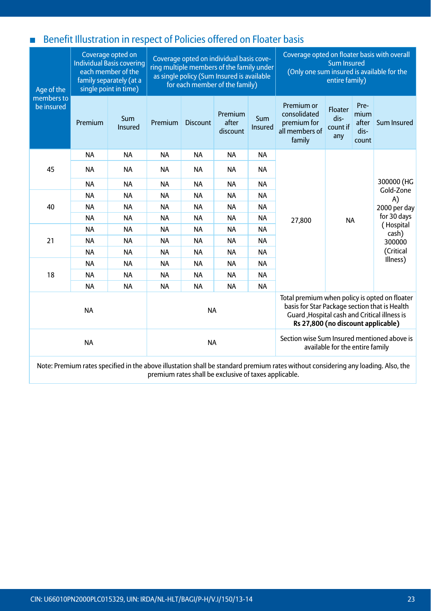# ■ Benefit Illustration in respect of Policies offered on Floater basis

| Age of the               |           | Coverage opted on<br><b>Individual Basis covering</b><br>each member of the<br>family separately (at a<br>single point in time) |           |                 | Coverage opted on individual basis cove-<br>ring multiple members of the family under<br>as single policy (Sum Insured is available<br>for each member of the family) |                | Coverage opted on floater basis with overall<br>(Only one sum insured is available for the                                                                                            | <b>Sum Insured</b><br>entire family) |                                        |                    |
|--------------------------|-----------|---------------------------------------------------------------------------------------------------------------------------------|-----------|-----------------|-----------------------------------------------------------------------------------------------------------------------------------------------------------------------|----------------|---------------------------------------------------------------------------------------------------------------------------------------------------------------------------------------|--------------------------------------|----------------------------------------|--------------------|
| members to<br>be insured | Premium   | Sum<br><b>Insured</b>                                                                                                           | Premium   | <b>Discount</b> | Premium<br>after<br>discount                                                                                                                                          | Sum<br>Insured | Premium or<br>consolidated<br>premium for<br>all members of<br>family                                                                                                                 | Floater<br>dis-<br>count if<br>any   | Pre-<br>mium<br>after<br>dis-<br>count | Sum Insured        |
|                          | <b>NA</b> | <b>NA</b>                                                                                                                       | <b>NA</b> | <b>NA</b>       | <b>NA</b>                                                                                                                                                             | <b>NA</b>      |                                                                                                                                                                                       |                                      |                                        |                    |
| 45                       | <b>NA</b> | <b>NA</b>                                                                                                                       | <b>NA</b> | <b>NA</b>       | <b>NA</b>                                                                                                                                                             | <b>NA</b>      |                                                                                                                                                                                       | Gold-Zone<br>A)                      |                                        |                    |
|                          | <b>NA</b> | <b>NA</b>                                                                                                                       | <b>NA</b> | <b>NA</b>       | <b>NA</b>                                                                                                                                                             | <b>NA</b>      |                                                                                                                                                                                       |                                      |                                        | 300000 (HG         |
|                          | <b>NA</b> | <b>NA</b>                                                                                                                       | <b>NA</b> | <b>NA</b>       | <b>NA</b>                                                                                                                                                             | <b>NA</b>      |                                                                                                                                                                                       |                                      |                                        |                    |
| 40                       | <b>NA</b> | <b>NA</b>                                                                                                                       | <b>NA</b> | <b>NA</b>       | <b>NA</b>                                                                                                                                                             | <b>NA</b>      |                                                                                                                                                                                       |                                      |                                        | 2000 per day       |
|                          | <b>NA</b> | <b>NA</b>                                                                                                                       | <b>NA</b> | <b>NA</b>       | <b>NA</b>                                                                                                                                                             | <b>NA</b>      | 27,800                                                                                                                                                                                | <b>NA</b>                            |                                        | for 30 days        |
|                          | <b>NA</b> | <b>NA</b>                                                                                                                       | <b>NA</b> | <b>NA</b>       | <b>NA</b>                                                                                                                                                             | <b>NA</b>      |                                                                                                                                                                                       |                                      |                                        | (Hospital<br>cash) |
| 21                       | <b>NA</b> | <b>NA</b>                                                                                                                       | <b>NA</b> | <b>NA</b>       | <b>NA</b>                                                                                                                                                             | <b>NA</b>      |                                                                                                                                                                                       |                                      |                                        | 300000             |
|                          | <b>NA</b> | <b>NA</b>                                                                                                                       | <b>NA</b> | <b>NA</b>       | <b>NA</b>                                                                                                                                                             | <b>NA</b>      |                                                                                                                                                                                       |                                      |                                        | (Critical          |
|                          | <b>NA</b> | <b>NA</b>                                                                                                                       | <b>NA</b> | <b>NA</b>       | <b>NA</b>                                                                                                                                                             | <b>NA</b>      |                                                                                                                                                                                       |                                      |                                        | Illness)           |
| 18                       | <b>NA</b> | <b>NA</b>                                                                                                                       | <b>NA</b> | <b>NA</b>       | <b>NA</b>                                                                                                                                                             | <b>NA</b>      |                                                                                                                                                                                       |                                      |                                        |                    |
|                          | <b>NA</b> | <b>NA</b>                                                                                                                       | <b>NA</b> | <b>NA</b>       | <b>NA</b>                                                                                                                                                             | <b>NA</b>      |                                                                                                                                                                                       |                                      |                                        |                    |
|                          | <b>NA</b> |                                                                                                                                 |           | <b>NA</b>       |                                                                                                                                                                       |                | Total premium when policy is opted on floater<br>basis for Star Package section that is Health<br>Guard , Hospital cash and Critical illness is<br>Rs 27,800 (no discount applicable) |                                      |                                        |                    |
|                          | <b>NA</b> |                                                                                                                                 |           | <b>NA</b>       |                                                                                                                                                                       |                | Section wise Sum Insured mentioned above is                                                                                                                                           | available for the entire family      |                                        |                    |

Note: Premium rates specified in the above illustation shall be standard premium rates without considering any loading. Also, the premium rates shall be exclusive of taxes applicable.